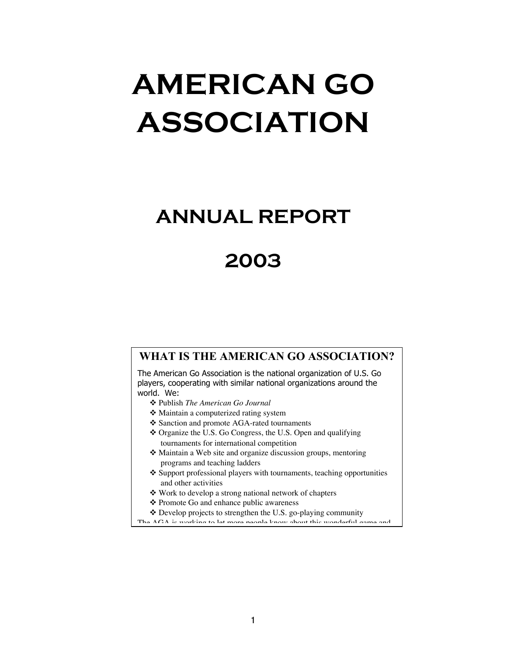# **AMERICAN GO ASSOCIATION**

# **ANNUAL REPORT**

# **2003**

#### **WHAT IS THE AMERICAN GO ASSOCIATION?**

The American Go Association is the national organization of U.S. Go players, cooperating with similar national organizations around the world. We:

- v Publish *The American Go Journal*
- ❖ Maintain a computerized rating system
- v Sanction and promote AGA-rated tournaments
- v Organize the U.S. Go Congress, the U.S. Open and qualifying tournaments for international competition
- $\triangle$  Maintain a Web site and organize discussion groups, mentoring programs and teaching ladders
- $\triangle$  Support professional players with tournaments, teaching opportunities and other activities
- v Work to develop a strong national network of chapters
- ❖ Promote Go and enhance public awareness
- $\triangle$  Develop projects to strengthen the U.S. go-playing community
- The AGA is working to let more people know about this wonderful game and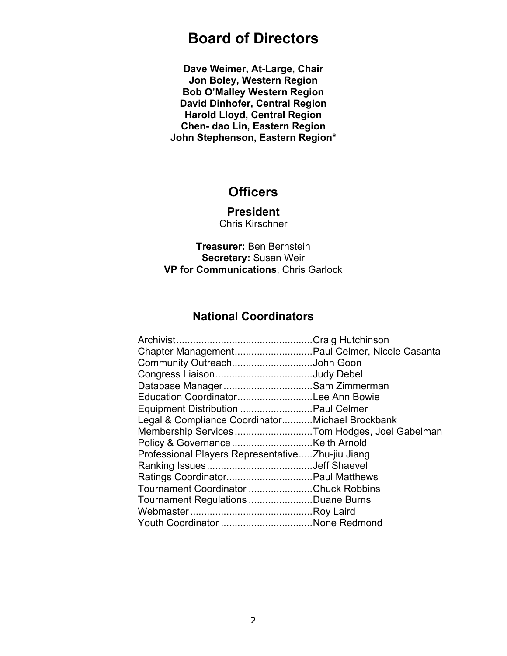# **Board of Directors**

**Dave Weimer, At-Large, Chair Jon Boley, Western Region Bob O'Malley Western Region David Dinhofer, Central Region Harold Lloyd, Central Region Chen- dao Lin, Eastern Region John Stephenson, Eastern Region\***

### **Officers**

**President** Chris Kirschner

**Treasurer:** Ben Bernstein **Secretary:** Susan Weir **VP for Communications**, Chris Garlock

### **National Coordinators**

| Chapter Management Paul Celmer, Nicole Casanta   |  |
|--------------------------------------------------|--|
| Community OutreachJohn Goon                      |  |
| Congress LiaisonJudy Debel                       |  |
| Database ManagerSam Zimmerman                    |  |
| Education CoordinatorLee Ann Bowie               |  |
| Equipment Distribution  Paul Celmer              |  |
| Legal & Compliance CoordinatorMichael Brockbank  |  |
| Membership ServicesTom Hodges, Joel Gabelman     |  |
|                                                  |  |
| Professional Players RepresentativeZhu-jiu Jiang |  |
|                                                  |  |
| Ratings Coordinator Paul Matthews                |  |
| Tournament Coordinator Chuck Robbins             |  |
| Tournament Regulations Duane Burns               |  |
|                                                  |  |
| Youth Coordinator None Redmond                   |  |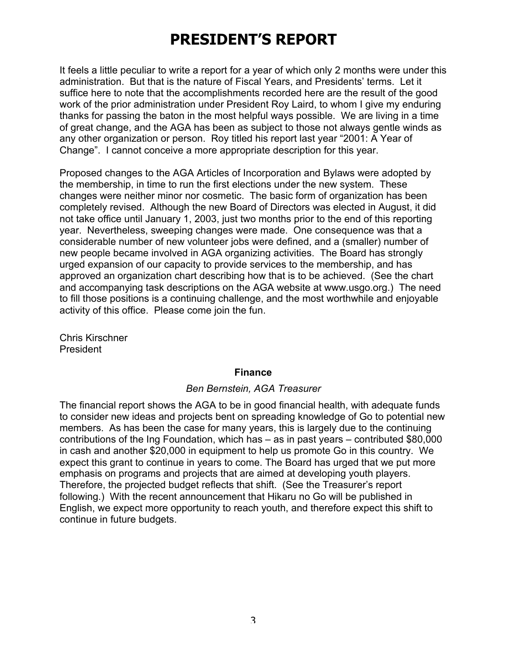# **PRESIDENT'S REPORT**

It feels a little peculiar to write a report for a year of which only 2 months were under this administration. But that is the nature of Fiscal Years, and Presidents' terms. Let it suffice here to note that the accomplishments recorded here are the result of the good work of the prior administration under President Roy Laird, to whom I give my enduring thanks for passing the baton in the most helpful ways possible. We are living in a time of great change, and the AGA has been as subject to those not always gentle winds as any other organization or person. Roy titled his report last year "2001: A Year of Change". I cannot conceive a more appropriate description for this year.

Proposed changes to the AGA Articles of Incorporation and Bylaws were adopted by the membership, in time to run the first elections under the new system. These changes were neither minor nor cosmetic. The basic form of organization has been completely revised. Although the new Board of Directors was elected in August, it did not take office until January 1, 2003, just two months prior to the end of this reporting year. Nevertheless, sweeping changes were made. One consequence was that a considerable number of new volunteer jobs were defined, and a (smaller) number of new people became involved in AGA organizing activities. The Board has strongly urged expansion of our capacity to provide services to the membership, and has approved an organization chart describing how that is to be achieved. (See the chart and accompanying task descriptions on the AGA website at www.usgo.org.) The need to fill those positions is a continuing challenge, and the most worthwhile and enjoyable activity of this office. Please come join the fun.

Chris Kirschner President

#### **Finance**

#### *Ben Bernstein, AGA Treasurer*

The financial report shows the AGA to be in good financial health, with adequate funds to consider new ideas and projects bent on spreading knowledge of Go to potential new members. As has been the case for many years, this is largely due to the continuing contributions of the Ing Foundation, which has – as in past years – contributed \$80,000 in cash and another \$20,000 in equipment to help us promote Go in this country. We expect this grant to continue in years to come. The Board has urged that we put more emphasis on programs and projects that are aimed at developing youth players. Therefore, the projected budget reflects that shift. (See the Treasurer's report following.) With the recent announcement that Hikaru no Go will be published in English, we expect more opportunity to reach youth, and therefore expect this shift to continue in future budgets.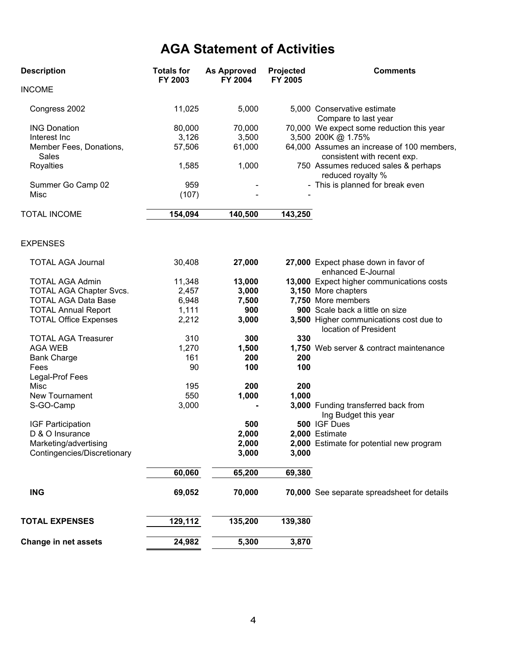# **AGA Statement of Activities**

| <b>Description</b>                      | <b>Totals for</b><br>FY 2003 | <b>As Approved</b><br>FY 2004 | Projected<br>FY 2005 | <b>Comments</b>                                                           |  |
|-----------------------------------------|------------------------------|-------------------------------|----------------------|---------------------------------------------------------------------------|--|
| <b>INCOME</b>                           |                              |                               |                      |                                                                           |  |
| Congress 2002                           | 11,025                       | 5,000                         |                      | 5,000 Conservative estimate<br>Compare to last year                       |  |
| <b>ING Donation</b>                     | 80,000                       | 70,000                        |                      | 70,000 We expect some reduction this year                                 |  |
| Interest Inc                            | 3,126                        | 3,500                         |                      | 3,500 200K @ 1.75%                                                        |  |
| Member Fees, Donations,<br><b>Sales</b> | 57,506                       | 61,000                        |                      | 64,000 Assumes an increase of 100 members,<br>consistent with recent exp. |  |
| Royalties                               | 1,585                        | 1,000                         |                      | 750 Assumes reduced sales & perhaps<br>reduced royalty %                  |  |
| Summer Go Camp 02                       | 959                          |                               |                      | - This is planned for break even                                          |  |
| Misc                                    | (107)                        |                               |                      |                                                                           |  |
| <b>TOTAL INCOME</b>                     | 154,094                      | 140,500                       | 143,250              |                                                                           |  |
| <b>EXPENSES</b>                         |                              |                               |                      |                                                                           |  |
| <b>TOTAL AGA Journal</b>                | 30,408                       | 27,000                        |                      | 27,000 Expect phase down in favor of<br>enhanced E-Journal                |  |
| <b>TOTAL AGA Admin</b>                  | 11,348                       | 13,000                        |                      | 13,000 Expect higher communications costs                                 |  |
| <b>TOTAL AGA Chapter Svcs.</b>          | 2,457                        | 3,000                         |                      | 3,150 More chapters                                                       |  |
| <b>TOTAL AGA Data Base</b>              | 6,948                        | 7,500                         |                      | 7,750 More members                                                        |  |
| <b>TOTAL Annual Report</b>              | 1,111                        | 900                           |                      | 900 Scale back a little on size                                           |  |
| <b>TOTAL Office Expenses</b>            | 2,212                        | 3,000                         |                      | 3,500 Higher communications cost due to<br>location of President          |  |
| <b>TOTAL AGA Treasurer</b>              | 310                          | 300                           | 330                  |                                                                           |  |
| <b>AGA WEB</b>                          | 1,270                        | 1,500                         |                      | 1,750 Web server & contract maintenance                                   |  |
| <b>Bank Charge</b>                      | 161                          | 200                           | 200                  |                                                                           |  |
| Fees                                    | 90                           | 100                           | 100                  |                                                                           |  |
| Legal-Prof Fees                         |                              |                               |                      |                                                                           |  |
| Misc                                    | 195                          | 200                           | 200                  |                                                                           |  |
| New Tournament                          | 550                          | 1,000                         | 1,000                |                                                                           |  |
| S-GO-Camp                               | 3,000                        |                               |                      | 3,000 Funding transferred back from<br>Ing Budget this year               |  |
| IGF Participation                       |                              | 500                           |                      | 500 IGF Dues                                                              |  |
| D & O Insurance                         |                              | 2,000                         |                      | 2,000 Estimate                                                            |  |
| Marketing/advertising                   |                              | 2,000                         |                      | 2,000 Estimate for potential new program                                  |  |
| Contingencies/Discretionary             |                              | 3,000                         | 3,000                |                                                                           |  |
|                                         | 60,060                       | 65,200                        | 69,380               |                                                                           |  |
| <b>ING</b>                              | 69,052                       | 70,000                        |                      | 70,000 See separate spreadsheet for details                               |  |
| <b>TOTAL EXPENSES</b>                   | 129,112                      | 135,200                       | 139,380              |                                                                           |  |
| <b>Change in net assets</b>             | 24,982                       | 5,300                         | 3,870                |                                                                           |  |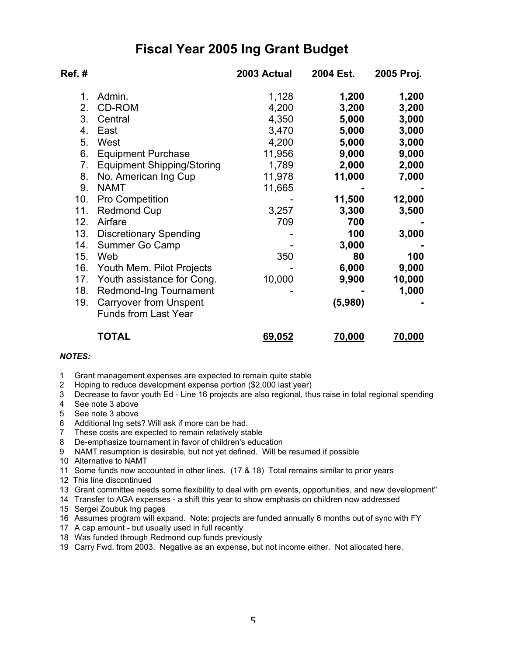## **Fiscal Year 2005 Ing Grant Budget**

| Ref.#           |                                                              | 2003 Actual | 2004 Est. | 2005 Proj. |
|-----------------|--------------------------------------------------------------|-------------|-----------|------------|
| 1.              | Admin.                                                       | 1,128       | 1,200     | 1,200      |
| 2.              | CD-ROM                                                       | 4,200       | 3,200     | 3,200      |
| 3.              | Central                                                      | 4,350       | 5,000     | 3,000      |
| 4.              | East                                                         | 3,470       | 5,000     | 3,000      |
| 5.              | West                                                         | 4,200       | 5,000     | 3,000      |
| 6.              | <b>Equipment Purchase</b>                                    | 11,956      | 9,000     | 9,000      |
| 7.              | <b>Equipment Shipping/Storing</b>                            | 1,789       | 2,000     | 2,000      |
| 8.              | No. American Ing Cup                                         | 11,978      | 11,000    | 7,000      |
| 9.              | <b>NAMT</b>                                                  | 11,665      |           |            |
| 10.             | Pro Competition                                              |             | 11,500    | 12,000     |
| 11.             | <b>Redmond Cup</b>                                           | 3,257       | 3,300     | 3,500      |
| 12.             | Airfare                                                      | 709         | 700       |            |
| 13.             | <b>Discretionary Spending</b>                                |             | 100       | 3,000      |
| 14.             | Summer Go Camp                                               |             | 3,000     |            |
| 15.             | Web                                                          | 350         | 80        | 100        |
| 16.             | Youth Mem. Pilot Projects                                    |             | 6,000     | 9,000      |
| 17 <sub>1</sub> | Youth assistance for Cong.                                   | 10,000      | 9,900     | 10,000     |
| 18.             | Redmond-Ing Tournament                                       |             |           | 1,000      |
| 19.             | <b>Carryover from Unspent</b><br><b>Funds from Last Year</b> |             | (5,980)   |            |
|                 | TOTAL                                                        | 69,052      | 70,000    | 70,000     |

#### *NOTES:*

1 Grant management expenses are expected to remain quite stable

2 Hoping to reduce development expense portion (\$2,000 last year)

3 Decrease to favor youth Ed - Line 16 projects are also regional, thus raise in total regional spending

- 4 See note 3 above
- 5 See note 3 above
- 6 Additional Ing sets? Will ask if more can be had.
- 7 These costs are expected to remain relatively stable
- 8 De-emphasize tournament in favor of children's education
- 9 NAMT resumption is desirable, but not yet defined. Will be resumed if possible
- 10 Alternative to NAMT
- 11 Some funds now accounted in other lines. (17 & 18) Total remains similar to prior years
- 12 This line discontinued
- 13 Grant committee needs some flexibility to deal with prn events, opportunities, and new development"
- 14 Transfer to AGA expenses a shift this year to show emphasis on children now addressed
- 15 Sergei Zoubuk Ing pages
- 16 Assumes program will expand. Note: projects are funded annually 6 months out of sync with FY
- 17 A cap amount but usually used in full recently
- 18 Was funded through Redmond cup funds previously
- 19 Carry Fwd. from 2003. Negative as an expense, but not income either. Not allocated here.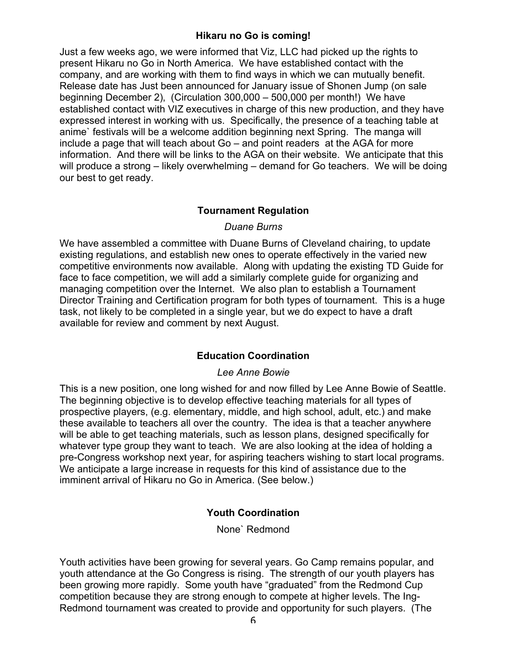#### **Hikaru no Go is coming!**

Just a few weeks ago, we were informed that Viz, LLC had picked up the rights to present Hikaru no Go in North America. We have established contact with the company, and are working with them to find ways in which we can mutually benefit. Release date has Just been announced for January issue of Shonen Jump (on sale beginning December 2), (Circulation 300,000 – 500,000 per month!) We have established contact with VIZ executives in charge of this new production, and they have expressed interest in working with us. Specifically, the presence of a teaching table at anime` festivals will be a welcome addition beginning next Spring. The manga will include a page that will teach about Go – and point readers at the AGA for more information. And there will be links to the AGA on their website. We anticipate that this will produce a strong – likely overwhelming – demand for Go teachers. We will be doing our best to get ready.

#### **Tournament Regulation**

#### *Duane Burns*

We have assembled a committee with Duane Burns of Cleveland chairing, to update existing regulations, and establish new ones to operate effectively in the varied new competitive environments now available. Along with updating the existing TD Guide for face to face competition, we will add a similarly complete guide for organizing and managing competition over the Internet. We also plan to establish a Tournament Director Training and Certification program for both types of tournament. This is a huge task, not likely to be completed in a single year, but we do expect to have a draft available for review and comment by next August.

#### **Education Coordination**

#### *Lee Anne Bowie*

This is a new position, one long wished for and now filled by Lee Anne Bowie of Seattle. The beginning objective is to develop effective teaching materials for all types of prospective players, (e.g. elementary, middle, and high school, adult, etc.) and make these available to teachers all over the country. The idea is that a teacher anywhere will be able to get teaching materials, such as lesson plans, designed specifically for whatever type group they want to teach. We are also looking at the idea of holding a pre-Congress workshop next year, for aspiring teachers wishing to start local programs. We anticipate a large increase in requests for this kind of assistance due to the imminent arrival of Hikaru no Go in America. (See below.)

#### **Youth Coordination**

None` Redmond

Youth activities have been growing for several years. Go Camp remains popular, and youth attendance at the Go Congress is rising. The strength of our youth players has been growing more rapidly. Some youth have "graduated" from the Redmond Cup competition because they are strong enough to compete at higher levels. The Ing-Redmond tournament was created to provide and opportunity for such players. (The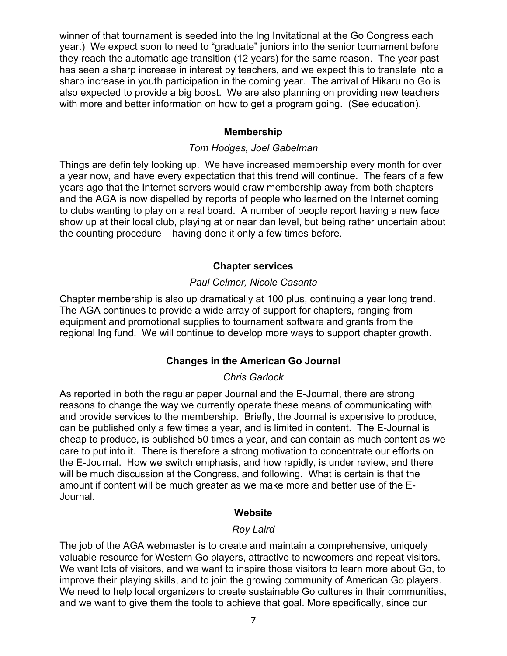winner of that tournament is seeded into the Ing Invitational at the Go Congress each year.) We expect soon to need to "graduate" juniors into the senior tournament before they reach the automatic age transition (12 years) for the same reason. The year past has seen a sharp increase in interest by teachers, and we expect this to translate into a sharp increase in youth participation in the coming year. The arrival of Hikaru no Go is also expected to provide a big boost. We are also planning on providing new teachers with more and better information on how to get a program going. (See education).

#### **Membership**

#### *Tom Hodges, Joel Gabelman*

Things are definitely looking up. We have increased membership every month for over a year now, and have every expectation that this trend will continue. The fears of a few years ago that the Internet servers would draw membership away from both chapters and the AGA is now dispelled by reports of people who learned on the Internet coming to clubs wanting to play on a real board. A number of people report having a new face show up at their local club, playing at or near dan level, but being rather uncertain about the counting procedure – having done it only a few times before.

#### **Chapter services**

#### *Paul Celmer, Nicole Casanta*

Chapter membership is also up dramatically at 100 plus, continuing a year long trend. The AGA continues to provide a wide array of support for chapters, ranging from equipment and promotional supplies to tournament software and grants from the regional Ing fund. We will continue to develop more ways to support chapter growth.

#### **Changes in the American Go Journal**

#### *Chris Garlock*

As reported in both the regular paper Journal and the E-Journal, there are strong reasons to change the way we currently operate these means of communicating with and provide services to the membership. Briefly, the Journal is expensive to produce, can be published only a few times a year, and is limited in content. The E-Journal is cheap to produce, is published 50 times a year, and can contain as much content as we care to put into it. There is therefore a strong motivation to concentrate our efforts on the E-Journal. How we switch emphasis, and how rapidly, is under review, and there will be much discussion at the Congress, and following. What is certain is that the amount if content will be much greater as we make more and better use of the E-Journal.

#### **Website**

#### *Roy Laird*

The job of the AGA webmaster is to create and maintain a comprehensive, uniquely valuable resource for Western Go players, attractive to newcomers and repeat visitors. We want lots of visitors, and we want to inspire those visitors to learn more about Go, to improve their playing skills, and to join the growing community of American Go players. We need to help local organizers to create sustainable Go cultures in their communities, and we want to give them the tools to achieve that goal. More specifically, since our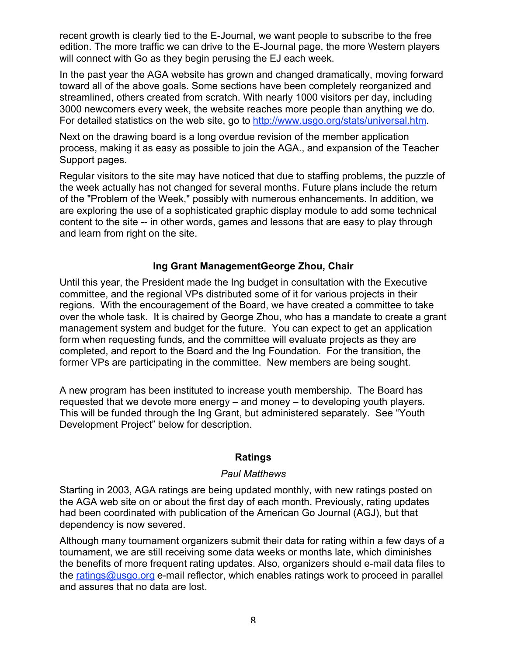recent growth is clearly tied to the E-Journal, we want people to subscribe to the free edition. The more traffic we can drive to the E-Journal page, the more Western players will connect with Go as they begin perusing the EJ each week.

In the past year the AGA website has grown and changed dramatically, moving forward toward all of the above goals. Some sections have been completely reorganized and streamlined, others created from scratch. With nearly 1000 visitors per day, including 3000 newcomers every week, the website reaches more people than anything we do. For detailed statistics on the web site, go to http://www.usgo.org/stats/universal.htm.

Next on the drawing board is a long overdue revision of the member application process, making it as easy as possible to join the AGA., and expansion of the Teacher Support pages.

Regular visitors to the site may have noticed that due to staffing problems, the puzzle of the week actually has not changed for several months. Future plans include the return of the "Problem of the Week," possibly with numerous enhancements. In addition, we are exploring the use of a sophisticated graphic display module to add some technical content to the site -- in other words, games and lessons that are easy to play through and learn from right on the site.

#### **Ing Grant ManagementGeorge Zhou, Chair**

Until this year, the President made the Ing budget in consultation with the Executive committee, and the regional VPs distributed some of it for various projects in their regions. With the encouragement of the Board, we have created a committee to take over the whole task. It is chaired by George Zhou, who has a mandate to create a grant management system and budget for the future. You can expect to get an application form when requesting funds, and the committee will evaluate projects as they are completed, and report to the Board and the Ing Foundation. For the transition, the former VPs are participating in the committee. New members are being sought.

A new program has been instituted to increase youth membership. The Board has requested that we devote more energy – and money – to developing youth players. This will be funded through the Ing Grant, but administered separately. See "Youth Development Project" below for description.

#### **Ratings**

#### *Paul Matthews*

Starting in 2003, AGA ratings are being updated monthly, with new ratings posted on the AGA web site on or about the first day of each month. Previously, rating updates had been coordinated with publication of the American Go Journal (AGJ), but that dependency is now severed.

Although many tournament organizers submit their data for rating within a few days of a tournament, we are still receiving some data weeks or months late, which diminishes the benefits of more frequent rating updates. Also, organizers should e-mail data files to the ratings@usgo.org e-mail reflector, which enables ratings work to proceed in parallel and assures that no data are lost.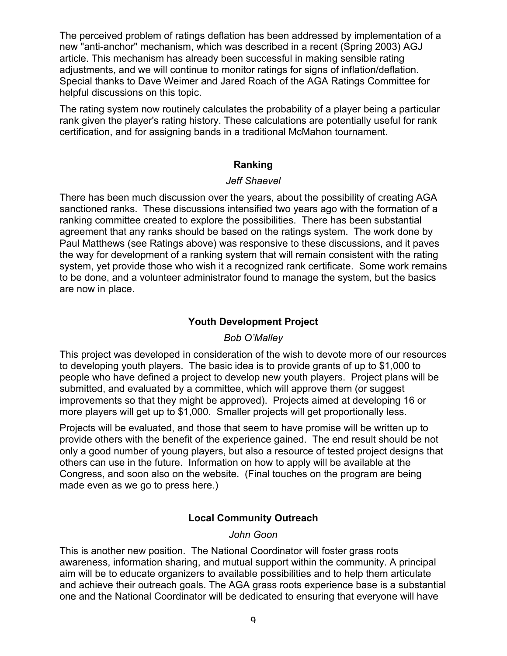The perceived problem of ratings deflation has been addressed by implementation of a new "anti-anchor" mechanism, which was described in a recent (Spring 2003) AGJ article. This mechanism has already been successful in making sensible rating adjustments, and we will continue to monitor ratings for signs of inflation/deflation. Special thanks to Dave Weimer and Jared Roach of the AGA Ratings Committee for helpful discussions on this topic.

The rating system now routinely calculates the probability of a player being a particular rank given the player's rating history. These calculations are potentially useful for rank certification, and for assigning bands in a traditional McMahon tournament.

#### **Ranking**

#### *Jeff Shaevel*

There has been much discussion over the years, about the possibility of creating AGA sanctioned ranks. These discussions intensified two years ago with the formation of a ranking committee created to explore the possibilities. There has been substantial agreement that any ranks should be based on the ratings system. The work done by Paul Matthews (see Ratings above) was responsive to these discussions, and it paves the way for development of a ranking system that will remain consistent with the rating system, yet provide those who wish it a recognized rank certificate. Some work remains to be done, and a volunteer administrator found to manage the system, but the basics are now in place.

#### **Youth Development Project**

#### *Bob O'Malley*

This project was developed in consideration of the wish to devote more of our resources to developing youth players. The basic idea is to provide grants of up to \$1,000 to people who have defined a project to develop new youth players. Project plans will be submitted, and evaluated by a committee, which will approve them (or suggest improvements so that they might be approved). Projects aimed at developing 16 or more players will get up to \$1,000. Smaller projects will get proportionally less.

Projects will be evaluated, and those that seem to have promise will be written up to provide others with the benefit of the experience gained. The end result should be not only a good number of young players, but also a resource of tested project designs that others can use in the future. Information on how to apply will be available at the Congress, and soon also on the website. (Final touches on the program are being made even as we go to press here.)

#### **Local Community Outreach**

*John Goon*

This is another new position. The National Coordinator will foster grass roots awareness, information sharing, and mutual support within the community. A principal aim will be to educate organizers to available possibilities and to help them articulate and achieve their outreach goals. The AGA grass roots experience base is a substantial one and the National Coordinator will be dedicated to ensuring that everyone will have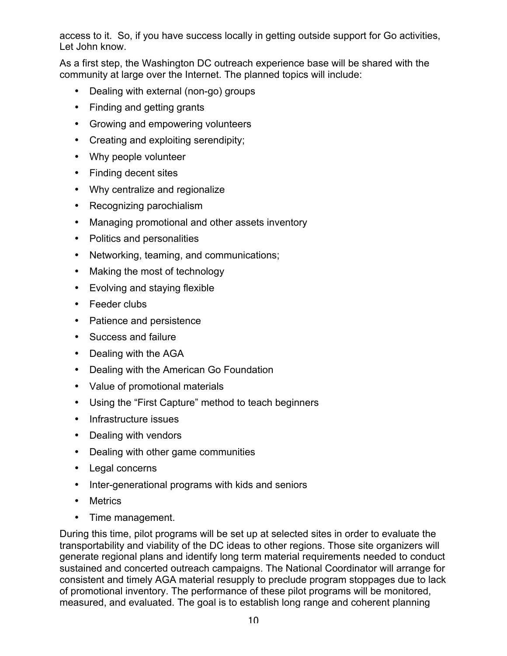access to it. So, if you have success locally in getting outside support for Go activities, Let John know.

As a first step, the Washington DC outreach experience base will be shared with the community at large over the Internet. The planned topics will include:

Dealing with external (non-go) groups Finding and getting grants Growing and empowering volunteers Creating and exploiting serendipity; Why people volunteer Finding decent sites Why centralize and regionalize Recognizing parochialism Managing promotional and other assets inventory Politics and personalities Networking, teaming, and communications; Making the most of technology Evolving and staying flexible Feeder clubs Patience and persistence Success and failure Dealing with the AGA Dealing with the American Go Foundation Value of promotional materials Using the "First Capture" method to teach beginners Infrastructure issues Dealing with vendors Dealing with other game communities Legal concerns

Inter-generational programs with kids and seniors

**Metrics** 

Time management.

During this time, pilot programs will be set up at selected sites in order to evaluate the transportability and viability of the DC ideas to other regions. Those site organizers will generate regional plans and identify long term material requirements needed to conduct sustained and concerted outreach campaigns. The National Coordinator will arrange for consistent and timely AGA material resupply to preclude program stoppages due to lack of promotional inventory. The performance of these pilot programs will be monitored, measured, and evaluated. The goal is to establish long range and coherent planning